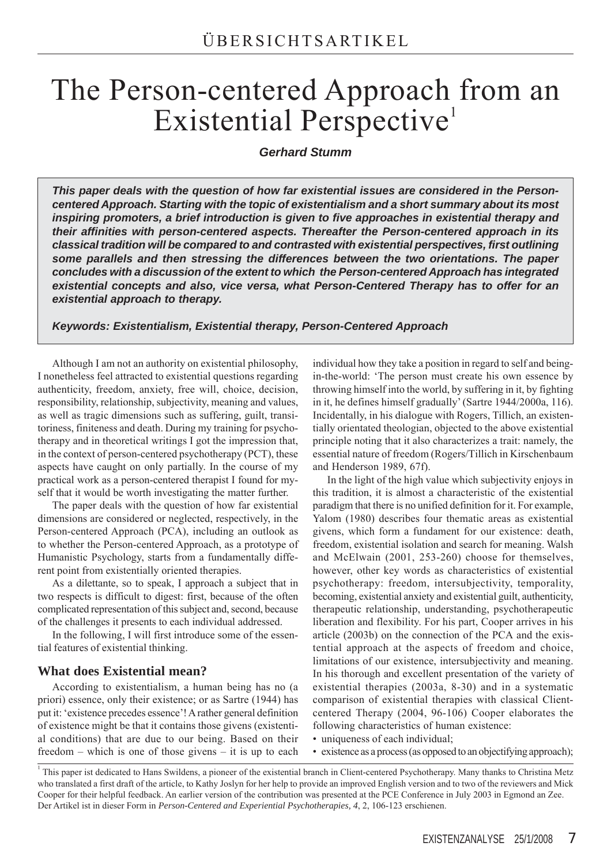# The Person-centered Approach from an Existential Perspective<sup>1</sup>

*Gerhard Stumm*

*This paper deals with the question of how far existential issues are considered in the Personcentered Approach. Starting with the topic of existentialism and a short summary about its most inspiring promoters, a brief introduction is given to five approaches in existential therapy and their affinities with person-centered aspects. Thereafter the Person-centered approach in its classical tradition will be compared to and contrasted with existential perspectives, first outlining some parallels and then stressing the differences between the two orientations. The paper concludes with a discussion of the extent to which the Person-centered Approach has integrated existential concepts and also, vice versa, what Person-Centered Therapy has to offer for an existential approach to therapy.*

*Keywords: Existentialism, Existential therapy, Person-Centered Approach*

Although I am not an authority on existential philosophy, I nonetheless feel attracted to existential questions regarding authenticity, freedom, anxiety, free will, choice, decision, responsibility, relationship, subjectivity, meaning and values, as well as tragic dimensions such as suffering, guilt, transitoriness, finiteness and death. During my training for psychotherapy and in theoretical writings I got the impression that, in the context of person-centered psychotherapy (PCT), these aspects have caught on only partially. In the course of my practical work as a person-centered therapist I found for myself that it would be worth investigating the matter further.

The paper deals with the question of how far existential dimensions are considered or neglected, respectively, in the Person-centered Approach (PCA), including an outlook as to whether the Person-centered Approach, as a prototype of Humanistic Psychology, starts from a fundamentally different point from existentially oriented therapies.

As a dilettante, so to speak, I approach a subject that in two respects is difficult to digest: first, because of the often complicated representation of this subject and, second, because of the challenges it presents to each individual addressed.

In the following, I will first introduce some of the essential features of existential thinking.

# **What does Existential mean?**

According to existentialism, a human being has no (a priori) essence, only their existence; or as Sartre (1944) has put it: 'existence precedes essence'! A rather general definition of existence might be that it contains those givens (existential conditions) that are due to our being. Based on their freedom – which is one of those givens – it is up to each

individual how they take a position in regard to self and beingin-the-world: 'The person must create his own essence by throwing himself into the world, by suffering in it, by fighting in it, he defines himself gradually' (Sartre 1944/2000a, 116). Incidentally, in his dialogue with Rogers, Tillich, an existentially orientated theologian, objected to the above existential principle noting that it also characterizes a trait: namely, the essential nature of freedom (Rogers/Tillich in Kirschenbaum and Henderson 1989, 67f).

In the light of the high value which subjectivity enjoys in this tradition, it is almost a characteristic of the existential paradigm that there is no unified definition for it. For example, Yalom (1980) describes four thematic areas as existential givens, which form a fundament for our existence: death, freedom, existential isolation and search for meaning. Walsh and McElwain (2001, 253-260) choose for themselves, however, other key words as characteristics of existential psychotherapy: freedom, intersubjectivity, temporality, becoming, existential anxiety and existential guilt, authenticity, therapeutic relationship, understanding, psychotherapeutic liberation and flexibility. For his part, Cooper arrives in his article (2003b) on the connection of the PCA and the existential approach at the aspects of freedom and choice, limitations of our existence, intersubjectivity and meaning. In his thorough and excellent presentation of the variety of existential therapies (2003a, 8-30) and in a systematic comparison of existential therapies with classical Clientcentered Therapy (2004, 96-106) Cooper elaborates the following characteristics of human existence:

- uniqueness of each individual;
- existence as a process (as opposed to an objectifying approach);

 $1$ <sup>1</sup> This paper ist dedicated to Hans Swildens, a pioneer of the existential branch in Client-centered Psychotherapy. Many thanks to Christina Metz who translated a first draft of the article, to Kathy Joslyn for her help to provide an improved English version and to two of the reviewers and Mick Cooper for their helpful feedback. An earlier version of the contribution was presented at the PCE Conference in July 2003 in Egmond an Zee. Der Artikel ist in dieser Form in *Person-Centered and Experiential Psychotherapies, 4*, 2, 106-123 erschienen.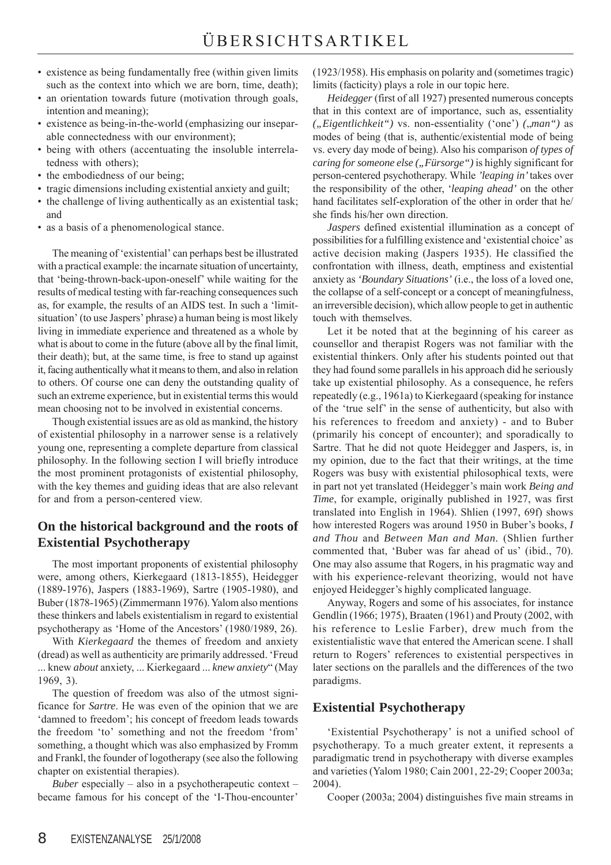- existence as being fundamentally free (within given limits such as the context into which we are born, time, death);
- an orientation towards future (motivation through goals, intention and meaning);
- existence as being-in-the-world (emphasizing our inseparable connectedness with our environment);
- being with others (accentuating the insoluble interrelatedness with others);
- the embodiedness of our being;
- tragic dimensions including existential anxiety and guilt;
- the challenge of living authentically as an existential task; and
- as a basis of a phenomenological stance.

The meaning of 'existential' can perhaps best be illustrated with a practical example: the incarnate situation of uncertainty, that 'being-thrown-back-upon-oneself' while waiting for the results of medical testing with far-reaching consequences such as, for example, the results of an AIDS test. In such a 'limitsituation' (to use Jaspers' phrase) a human being is most likely living in immediate experience and threatened as a whole by what is about to come in the future (above all by the final limit, their death); but, at the same time, is free to stand up against it, facing authentically what it means to them, and also in relation to others. Of course one can deny the outstanding quality of such an extreme experience, but in existential terms this would mean choosing not to be involved in existential concerns.

Though existential issues are as old as mankind, the history of existential philosophy in a narrower sense is a relatively young one, representing a complete departure from classical philosophy. In the following section I will briefly introduce the most prominent protagonists of existential philosophy, with the key themes and guiding ideas that are also relevant for and from a person-centered view.

# **On the historical background and the roots of Existential Psychotherapy**

The most important proponents of existential philosophy were, among others, Kierkegaard (1813-1855), Heidegger (1889-1976), Jaspers (1883-1969), Sartre (1905-1980), and Buber (1878-1965) (Zimmermann 1976). Yalom also mentions these thinkers and labels existentialism in regard to existential psychotherapy as 'Home of the Ancestors' (1980/1989, 26).

With *Kierkegaard* the themes of freedom and anxiety (dread) as well as authenticity are primarily addressed. 'Freud ... knew *about* anxiety, ... Kierkegaard ... *knew anxiety*" (May 1969, 3).

The question of freedom was also of the utmost significance for *Sartre*. He was even of the opinion that we are 'damned to freedom'; his concept of freedom leads towards the freedom 'to' something and not the freedom 'from' something, a thought which was also emphasized by Fromm and Frankl, the founder of logotherapy (see also the following chapter on existential therapies).

*Buber* especially – also in a psychotherapeutic context – became famous for his concept of the 'I-Thou-encounter'

(1923/1958). His emphasis on polarity and (sometimes tragic) limits (facticity) plays a role in our topic here.

*Heidegger* (first of all 1927) presented numerous concepts that in this context are of importance, such as, essentiality *(", Eigentlichkeit")* vs. non-essentiality *('one') ("man")* as modes of being (that is, authentic/existential mode of being vs. every day mode of being). Also his comparison *of types of caring for someone else* ("Fürsorge") is highly significant for person-centered psychotherapy. While *'leaping in'* takes over the responsibility of the other, '*leaping ahead'* on the other hand facilitates self-exploration of the other in order that he/ she finds his/her own direction.

*Jaspers* defined existential illumination as a concept of possibilities for a fulfilling existence and 'existential choice' as active decision making (Jaspers 1935). He classified the confrontation with illness, death, emptiness and existential anxiety as *'Boundary Situations'* (i.e., the loss of a loved one, the collapse of a self-concept or a concept of meaningfulness, an irreversible decision), which allow people to get in authentic touch with themselves.

Let it be noted that at the beginning of his career as counsellor and therapist Rogers was not familiar with the existential thinkers. Only after his students pointed out that they had found some parallels in his approach did he seriously take up existential philosophy. As a consequence, he refers repeatedly (e.g., 1961a) to Kierkegaard (speaking for instance of the 'true self' in the sense of authenticity, but also with his references to freedom and anxiety) - and to Buber (primarily his concept of encounter); and sporadically to Sartre. That he did not quote Heidegger and Jaspers, is, in my opinion, due to the fact that their writings, at the time Rogers was busy with existential philosophical texts, were in part not yet translated (Heidegger's main work *Being and Time*, for example, originally published in 1927, was first translated into English in 1964). Shlien (1997, 69f) shows how interested Rogers was around 1950 in Buber's books, *I and Thou* and *Between Man and Man.* (Shlien further commented that, 'Buber was far ahead of us' (ibid., 70). One may also assume that Rogers, in his pragmatic way and with his experience-relevant theorizing, would not have enjoyed Heidegger's highly complicated language.

Anyway, Rogers and some of his associates, for instance Gendlin (1966; 1975), Braaten (1961) and Prouty (2002, with his reference to Leslie Farber), drew much from the existentialistic wave that entered the American scene. I shall return to Rogers' references to existential perspectives in later sections on the parallels and the differences of the two paradigms.

# **Existential Psychotherapy**

'Existential Psychotherapy' is not a unified school of psychotherapy. To a much greater extent, it represents a paradigmatic trend in psychotherapy with diverse examples and varieties (Yalom 1980; Cain 2001, 22-29; Cooper 2003a; 2004).

Cooper (2003a; 2004) distinguishes five main streams in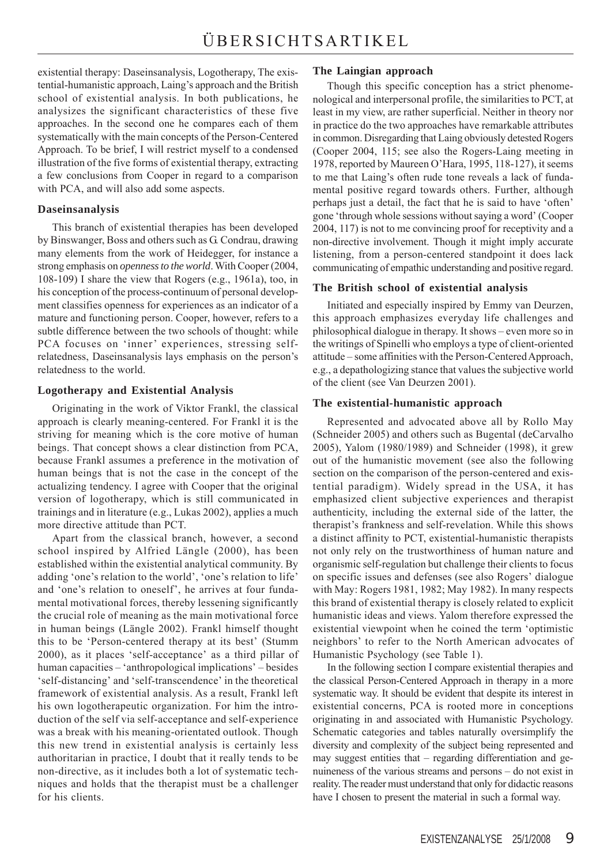existential therapy: Daseinsanalysis, Logotherapy, The existential-humanistic approach, Laing's approach and the British school of existential analysis. In both publications, he analysizes the significant characteristics of these five approaches. In the second one he compares each of them systematically with the main concepts of the Person-Centered Approach. To be brief, I will restrict myself to a condensed illustration of the five forms of existential therapy, extracting a few conclusions from Cooper in regard to a comparison with PCA, and will also add some aspects.

# **Daseinsanalysis**

This branch of existential therapies has been developed by Binswanger, Boss and others such as G. Condrau, drawing many elements from the work of Heidegger, for instance a strong emphasis on *openness to the world*. With Cooper (2004, 108-109) I share the view that Rogers (e.g., 1961a), too, in his conception of the process-continuum of personal development classifies openness for experiences as an indicator of a mature and functioning person. Cooper, however, refers to a subtle difference between the two schools of thought: while PCA focuses on 'inner' experiences, stressing selfrelatedness, Daseinsanalysis lays emphasis on the person's relatedness to the world.

# **Logotherapy and Existential Analysis**

Originating in the work of Viktor Frankl, the classical approach is clearly meaning-centered. For Frankl it is the striving for meaning which is the core motive of human beings. That concept shows a clear distinction from PCA, because Frankl assumes a preference in the motivation of human beings that is not the case in the concept of the actualizing tendency. I agree with Cooper that the original version of logotherapy, which is still communicated in trainings and in literature (e.g., Lukas 2002), applies a much more directive attitude than PCT.

Apart from the classical branch, however, a second school inspired by Alfried Längle (2000), has been established within the existential analytical community. By adding 'one's relation to the world', 'one's relation to life' and 'one's relation to oneself', he arrives at four fundamental motivational forces, thereby lessening significantly the crucial role of meaning as the main motivational force in human beings (Längle 2002). Frankl himself thought this to be 'Person-centered therapy at its best' (Stumm 2000), as it places 'self-acceptance' as a third pillar of human capacities – 'anthropological implications' – besides 'self-distancing' and 'self-transcendence' in the theoretical framework of existential analysis. As a result, Frankl left his own logotherapeutic organization. For him the introduction of the self via self-acceptance and self-experience was a break with his meaning-orientated outlook. Though this new trend in existential analysis is certainly less authoritarian in practice, I doubt that it really tends to be non-directive, as it includes both a lot of systematic techniques and holds that the therapist must be a challenger for his clients.

# **The Laingian approach**

Though this specific conception has a strict phenomenological and interpersonal profile, the similarities to PCT, at least in my view, are rather superficial. Neither in theory nor in practice do the two approaches have remarkable attributes in common. Disregarding that Laing obviously detested Rogers (Cooper 2004, 115; see also the Rogers-Laing meeting in 1978, reported by Maureen O'Hara, 1995, 118-127), it seems to me that Laing's often rude tone reveals a lack of fundamental positive regard towards others. Further, although perhaps just a detail, the fact that he is said to have 'often' gone 'through whole sessions without saying a word' (Cooper 2004, 117) is not to me convincing proof for receptivity and a non-directive involvement. Though it might imply accurate listening, from a person-centered standpoint it does lack communicating of empathic understanding and positive regard.

# **The British school of existential analysis**

Initiated and especially inspired by Emmy van Deurzen, this approach emphasizes everyday life challenges and philosophical dialogue in therapy. It shows – even more so in the writings of Spinelli who employs a type of client-oriented attitude – some affinities with the Person-Centered Approach, e.g., a depathologizing stance that values the subjective world of the client (see Van Deurzen 2001).

# **The existential-humanistic approach**

Represented and advocated above all by Rollo May (Schneider 2005) and others such as Bugental (deCarvalho 2005), Yalom (1980/1989) and Schneider (1998), it grew out of the humanistic movement (see also the following section on the comparison of the person-centered and existential paradigm). Widely spread in the USA, it has emphasized client subjective experiences and therapist authenticity, including the external side of the latter, the therapist's frankness and self-revelation. While this shows a distinct affinity to PCT, existential-humanistic therapists not only rely on the trustworthiness of human nature and organismic self-regulation but challenge their clients to focus on specific issues and defenses (see also Rogers' dialogue with May: Rogers 1981, 1982; May 1982). In many respects this brand of existential therapy is closely related to explicit humanistic ideas and views. Yalom therefore expressed the existential viewpoint when he coined the term 'optimistic neighbors' to refer to the North American advocates of Humanistic Psychology (see Table 1).

In the following section I compare existential therapies and the classical Person-Centered Approach in therapy in a more systematic way. It should be evident that despite its interest in existential concerns, PCA is rooted more in conceptions originating in and associated with Humanistic Psychology. Schematic categories and tables naturally oversimplify the diversity and complexity of the subject being represented and may suggest entities that – regarding differentiation and genuineness of the various streams and persons – do not exist in reality. The reader must understand that only for didactic reasons have I chosen to present the material in such a formal way.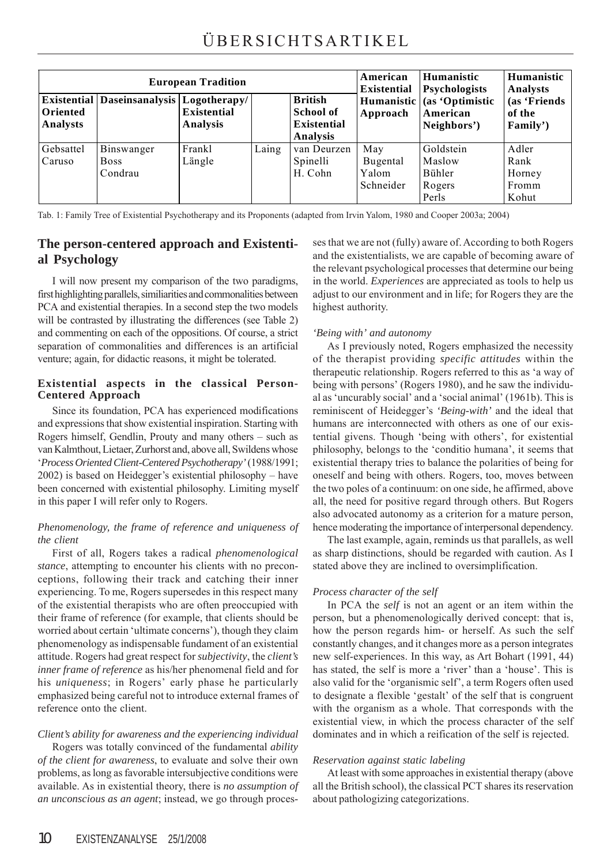|                      |                                            | <b>European Tradition</b>      | American<br><b>Existential</b> | <b>Humanistic</b><br><b>Psychologists</b>              | <b>Humanistic</b><br>Analysts         |                                                       |                                           |
|----------------------|--------------------------------------------|--------------------------------|--------------------------------|--------------------------------------------------------|---------------------------------------|-------------------------------------------------------|-------------------------------------------|
| Oriented<br>Analysts | Existential Daseinsanalysis   Logotherapy/ | <b>Existential</b><br>Analysis |                                | <b>British</b><br>School of<br>Existential<br>Analysis | Approach                              | Humanistic (as 'Optimistic<br>American<br>Neighbors') | (as 'Friends<br>of the<br>Family')        |
| Gebsattel<br>Caruso  | Binswanger<br><b>Boss</b><br>Condrau       | Frankl<br>Längle               | Laing                          | van Deurzen<br>Spinelli<br>H. Cohn                     | May<br>Bugental<br>Yalom<br>Schneider | Goldstein<br>Maslow<br>Bühler<br>Rogers<br>Perls      | Adler<br>Rank<br>Horney<br>Fromm<br>Kohut |

Tab. 1: Family Tree of Existential Psychotherapy and its Proponents (adapted from Irvin Yalom, 1980 and Cooper 2003a; 2004)

# **The person-centered approach and Existential Psychology**

I will now present my comparison of the two paradigms, first highlighting parallels, similiarities and commonalities between PCA and existential therapies. In a second step the two models will be contrasted by illustrating the differences (see Table 2) and commenting on each of the oppositions. Of course, a strict separation of commonalities and differences is an artificial venture; again, for didactic reasons, it might be tolerated.

# **Existential aspects in the classical Person-Centered Approach**

Since its foundation, PCA has experienced modifications and expressions that show existential inspiration. Starting with Rogers himself, Gendlin, Prouty and many others – such as van Kalmthout, Lietaer, Zurhorst and, above all, Swildens whose '*Process Oriented Client-Centered Psychotherapy'* (1988/1991; 2002) is based on Heidegger's existential philosophy – have been concerned with existential philosophy. Limiting myself in this paper I will refer only to Rogers.

# *Phenomenology, the frame of reference and uniqueness of the client*

First of all, Rogers takes a radical *phenomenological stance*, attempting to encounter his clients with no preconceptions, following their track and catching their inner experiencing. To me, Rogers supersedes in this respect many of the existential therapists who are often preoccupied with their frame of reference (for example, that clients should be worried about certain 'ultimate concerns'), though they claim phenomenology as indispensable fundament of an existential attitude. Rogers had great respect for *subjectivity*, the *client's inner frame of reference* as his/her phenomenal field and for his *uniqueness*; in Rogers' early phase he particularly emphasized being careful not to introduce external frames of reference onto the client.

# *Client's ability for awareness and the experiencing individual*

Rogers was totally convinced of the fundamental *ability of the client for awareness*, to evaluate and solve their own problems, as long as favorable intersubjective conditions were available. As in existential theory, there is *no assumption of an unconscious as an agent*; instead, we go through processes that we are not (fully) aware of. According to both Rogers and the existentialists, we are capable of becoming aware of the relevant psychological processes that determine our being in the world. *Experiences* are appreciated as tools to help us adjust to our environment and in life; for Rogers they are the highest authority.

## *'Being with' and autonomy*

As I previously noted, Rogers emphasized the necessity of the therapist providing *specific attitudes* within the therapeutic relationship. Rogers referred to this as 'a way of being with persons' (Rogers 1980), and he saw the individual as 'uncurably social' and a 'social animal' (1961b). This is reminiscent of Heidegger's *'Being-with'* and the ideal that humans are interconnected with others as one of our existential givens. Though 'being with others', for existential philosophy, belongs to the 'conditio humana', it seems that existential therapy tries to balance the polarities of being for oneself and being with others. Rogers, too, moves between the two poles of a continuum: on one side, he affirmed, above all, the need for positive regard through others. But Rogers also advocated autonomy as a criterion for a mature person, hence moderating the importance of interpersonal dependency.

The last example, again, reminds us that parallels, as well as sharp distinctions, should be regarded with caution. As I stated above they are inclined to oversimplification.

# *Process character of the self*

In PCA the *self* is not an agent or an item within the person, but a phenomenologically derived concept: that is, how the person regards him- or herself. As such the self constantly changes, and it changes more as a person integrates new self-experiences. In this way, as Art Bohart (1991, 44) has stated, the self is more a 'river' than a 'house'. This is also valid for the 'organismic self', a term Rogers often used to designate a flexible 'gestalt' of the self that is congruent with the organism as a whole. That corresponds with the existential view, in which the process character of the self dominates and in which a reification of the self is rejected.

# *Reservation against static labeling*

At least with some approaches in existential therapy (above all the British school), the classical PCT shares its reservation about pathologizing categorizations.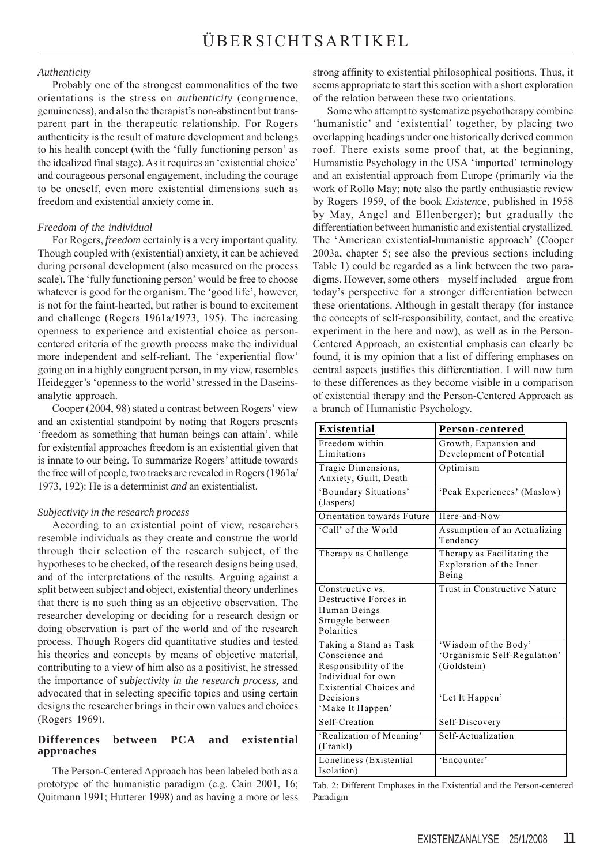#### *Authenticity*

Probably one of the strongest commonalities of the two orientations is the stress on *authenticity* (congruence, genuineness), and also the therapist's non-abstinent but transparent part in the therapeutic relationship*.* For Rogers authenticity is the result of mature development and belongs to his health concept (with the 'fully functioning person' as the idealized final stage). As it requires an 'existential choice' and courageous personal engagement, including the courage to be oneself, even more existential dimensions such as freedom and existential anxiety come in.

#### *Freedom of the individual*

For Rogers, *freedom* certainly is a very important quality. Though coupled with (existential) anxiety, it can be achieved during personal development (also measured on the process scale). The 'fully functioning person' would be free to choose whatever is good for the organism. The 'good life', however, is not for the faint-hearted, but rather is bound to excitement and challenge (Rogers 1961a/1973, 195). The increasing openness to experience and existential choice as personcentered criteria of the growth process make the individual more independent and self-reliant. The 'experiential flow' going on in a highly congruent person, in my view, resembles Heidegger's 'openness to the world' stressed in the Daseinsanalytic approach.

Cooper (2004, 98) stated a contrast between Rogers' view and an existential standpoint by noting that Rogers presents 'freedom as something that human beings can attain', while for existential approaches freedom is an existential given that is innate to our being. To summarize Rogers' attitude towards the free will of people, two tracks are revealed in Rogers (1961a/ 1973, 192): He is a determinist *and* an existentialist.

#### *Subjectivity in the research process*

According to an existential point of view, researchers resemble individuals as they create and construe the world through their selection of the research subject, of the hypotheses to be checked, of the research designs being used, and of the interpretations of the results. Arguing against a split between subject and object, existential theory underlines that there is no such thing as an objective observation. The researcher developing or deciding for a research design or doing observation is part of the world and of the research process. Though Rogers did quantitative studies and tested his theories and concepts by means of objective material, contributing to a view of him also as a positivist, he stressed the importance of *subjectivity in the research process,* and advocated that in selecting specific topics and using certain designs the researcher brings in their own values and choices (Rogers 1969).

# **Differences between PCA and existential approaches**

The Person-Centered Approach has been labeled both as a prototype of the humanistic paradigm (e.g. Cain 2001, 16; Quitmann 1991; Hutterer 1998) and as having a more or less strong affinity to existential philosophical positions. Thus, it seems appropriate to start this section with a short exploration of the relation between these two orientations.

Some who attempt to systematize psychotherapy combine 'humanistic' and 'existential' together, by placing two overlapping headings under one historically derived common roof. There exists some proof that, at the beginning, Humanistic Psychology in the USA 'imported' terminology and an existential approach from Europe (primarily via the work of Rollo May; note also the partly enthusiastic review by Rogers 1959, of the book *Existence*, published in 1958 by May, Angel and Ellenberger); but gradually the differentiation between humanistic and existential crystallized. The 'American existential-humanistic approach' (Cooper 2003a, chapter 5; see also the previous sections including Table 1) could be regarded as a link between the two paradigms. However, some others – myself included – argue from today's perspective for a stronger differentiation between these orientations. Although in gestalt therapy (for instance the concepts of self-responsibility, contact, and the creative experiment in the here and now), as well as in the Person-Centered Approach, an existential emphasis can clearly be found, it is my opinion that a list of differing emphases on central aspects justifies this differentiation. I will now turn to these differences as they become visible in a comparison of existential therapy and the Person-Centered Approach as a branch of Humanistic Psychology.

| <b>Existential</b>                                                                                                                                  | Person-centered                                                                        |  |  |  |
|-----------------------------------------------------------------------------------------------------------------------------------------------------|----------------------------------------------------------------------------------------|--|--|--|
| Freedom within<br>Limitations                                                                                                                       | Growth, Expansion and<br>Development of Potential                                      |  |  |  |
| Tragic Dimensions,<br>Anxiety, Guilt, Death                                                                                                         | Optimism                                                                               |  |  |  |
| 'Boundary Situations'<br>(Jaspers)                                                                                                                  | 'Peak Experiences' (Maslow)                                                            |  |  |  |
| Orientation towards Future                                                                                                                          | Here-and-Now                                                                           |  |  |  |
| 'Call' of the World                                                                                                                                 | Assumption of an Actualizing<br>Tendency                                               |  |  |  |
| Therapy as Challenge                                                                                                                                | Therapy as Facilitating the<br>Exploration of the Inner<br>Being                       |  |  |  |
| Constructive vs.<br>Destructive Forces in<br>Human Beings<br>Struggle between<br>Polarities                                                         | Trust in Constructive Nature                                                           |  |  |  |
| Taking a Stand as Task<br>Conscience and<br>Responsibility of the<br>Individual for own<br>Existential Choices and<br>Decisions<br>'Make It Happen' | 'Wisdom of the Body'<br>'Organismic Self-Regulation'<br>(Goldstein)<br>'Let It Happen' |  |  |  |
| Self-Creation                                                                                                                                       | Self-Discovery                                                                         |  |  |  |
| 'Realization of Meaning'<br>(Frankl)                                                                                                                | Self-Actualization                                                                     |  |  |  |
| Loneliness (Existential<br>Isolation)                                                                                                               | 'Encounter'                                                                            |  |  |  |

Tab. 2: Different Emphases in the Existential and the Person-centered Paradigm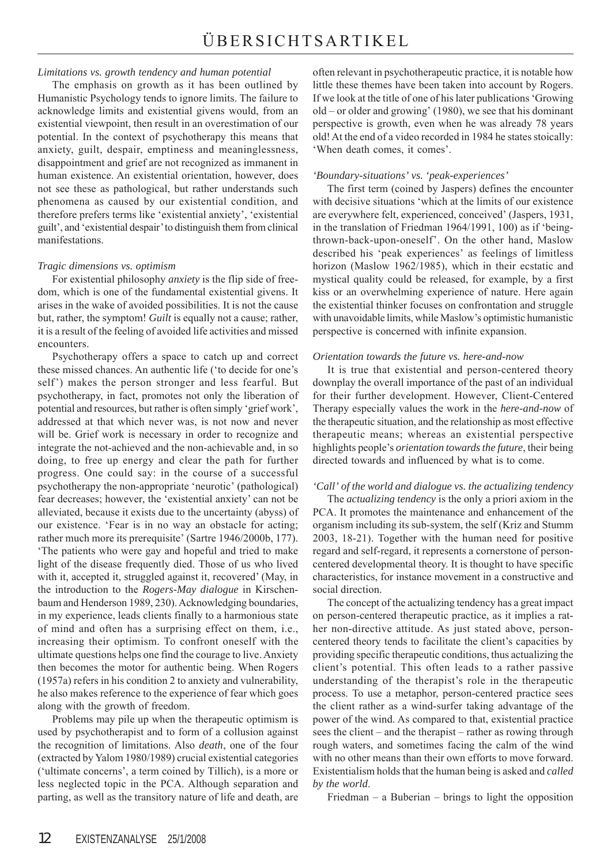# *Limitations vs. growth tendency and human potential*

The emphasis on growth as it has been outlined by Humanistic Psychology tends to ignore limits. The failure to acknowledge limits and existential givens would, from an existential viewpoint, then result in an overestimation of our potential. In the context of psychotherapy this means that anxiety, guilt, despair, emptiness and meaninglessness, disappointment and grief are not recognized as immanent in human existence. An existential orientation, however, does not see these as pathological, but rather understands such phenomena as caused by our existential condition, and therefore prefers terms like 'existential anxiety', 'existential guilt', and 'existential despair' to distinguish them from clinical manifestations.

#### *Tragic dimensions vs. optimism*

For existential philosophy *anxiety* is the flip side of freedom, which is one of the fundamental existential givens. It arises in the wake of avoided possibilities. It is not the cause but, rather, the symptom! *Guilt* is equally not a cause; rather, it is a result of the feeling of avoided life activities and missed encounters.

Psychotherapy offers a space to catch up and correct these missed chances. An authentic life ('to decide for one's self') makes the person stronger and less fearful. But psychotherapy, in fact, promotes not only the liberation of potential and resources, but rather is often simply 'grief work', addressed at that which never was, is not now and never will be. Grief work is necessary in order to recognize and integrate the not-achieved and the non-achievable and, in so doing, to free up energy and clear the path for further progress. One could say: in the course of a successful psychotherapy the non-appropriate 'neurotic' (pathological) fear decreases; however, the 'existential anxiety' can not be alleviated, because it exists due to the uncertainty (abyss) of our existence. 'Fear is in no way an obstacle for acting; rather much more its prerequisite' (Sartre 1946/2000b, 177). 'The patients who were gay and hopeful and tried to make light of the disease frequently died. Those of us who lived with it, accepted it, struggled against it, recovered' (May, in the introduction to the *Rogers-May dialogue* in Kirschenbaum and Henderson 1989, 230). Acknowledging boundaries, in my experience, leads clients finally to a harmonious state of mind and often has a surprising effect on them, i.e., increasing their optimism. To confront oneself with the ultimate questions helps one find the courage to live. Anxiety then becomes the motor for authentic being. When Rogers (1957a) refers in his condition 2 to anxiety and vulnerability, he also makes reference to the experience of fear which goes along with the growth of freedom.

Problems may pile up when the therapeutic optimism is used by psychotherapist and to form of a collusion against the recognition of limitations. Also *death*, one of the four (extracted by Yalom 1980/1989) crucial existential categories ('ultimate concerns', a term coined by Tillich), is a more or less neglected topic in the PCA. Although separation and parting, as well as the transitory nature of life and death, are often relevant in psychotherapeutic practice, it is notable how little these themes have been taken into account by Rogers. If we look at the title of one of his later publications 'Growing old – or older and growing' (1980), we see that his dominant perspective is growth, even when he was already 78 years old! At the end of a video recorded in 1984 he states stoically: 'When death comes, it comes'.

#### *'Boundary-situations' vs. 'peak-experiences'*

The first term (coined by Jaspers) defines the encounter with decisive situations 'which at the limits of our existence are everywhere felt, experienced, conceived' (Jaspers, 1931, in the translation of Friedman 1964/1991, 100) as if 'beingthrown-back-upon-oneself'. On the other hand, Maslow described his 'peak experiences' as feelings of limitless horizon (Maslow 1962/1985), which in their ecstatic and mystical quality could be released, for example, by a first kiss or an overwhelming experience of nature. Here again the existential thinker focuses on confrontation and struggle with unavoidable limits, while Maslow's optimistic humanistic perspective is concerned with infinite expansion.

#### *Orientation towards the future vs. here-and-now*

It is true that existential and person-centered theory downplay the overall importance of the past of an individual for their further development. However, Client-Centered Therapy especially values the work in the *here-and-now* of the therapeutic situation, and the relationship as most effective therapeutic means; whereas an existential perspective highlights people's *orientation towards the future*, their being directed towards and influenced by what is to come.

# *'Call' of the world and dialogue vs. the actualizing tendency*

The *actualizing tendency* is the only a priori axiom in the PCA. It promotes the maintenance and enhancement of the organism including its sub-system, the self (Kriz and Stumm 2003, 18-21). Together with the human need for positive regard and self-regard, it represents a cornerstone of personcentered developmental theory. It is thought to have specific characteristics, for instance movement in a constructive and social direction.

The concept of the actualizing tendency has a great impact on person-centered therapeutic practice, as it implies a rather non-directive attitude. As just stated above, personcentered theory tends to facilitate the client's capacities by providing specific therapeutic conditions, thus actualizing the client's potential. This often leads to a rather passive understanding of the therapist's role in the therapeutic process. To use a metaphor, person-centered practice sees the client rather as a wind-surfer taking advantage of the power of the wind. As compared to that, existential practice sees the client – and the therapist – rather as rowing through rough waters, and sometimes facing the calm of the wind with no other means than their own efforts to move forward. Existentialism holds that the human being is asked and *called by the world*.

Friedman – a Buberian – brings to light the opposition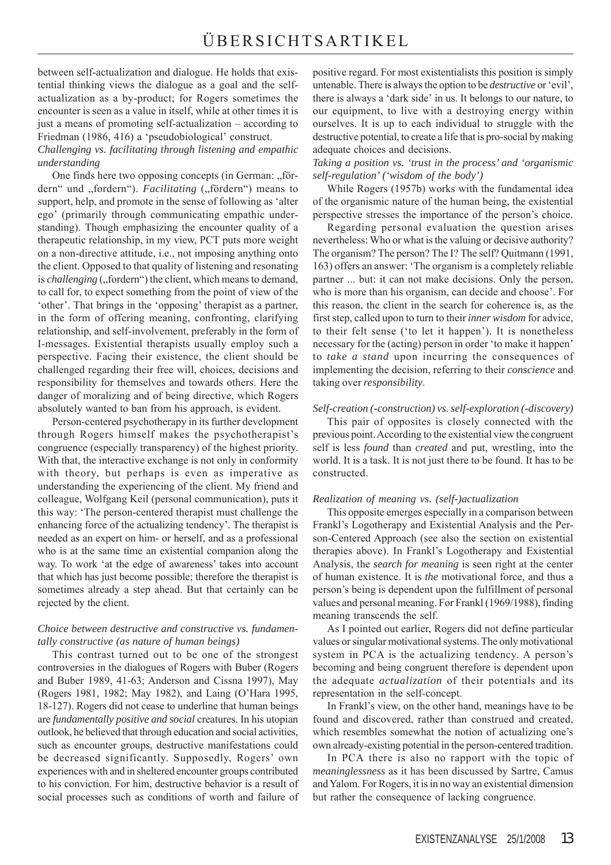between self-actualization and dialogue. He holds that existential thinking views the dialogue as a goal and the selfactualization as a by-product; for Rogers sometimes the encounter is seen as a value in itself, while at other times it is just a means of promoting self-actualization – according to Friedman (1986, 416) a 'pseudobiological' construct.

# *Challenging vs. facilitating through listening and empathic understanding*

One finds here two opposing concepts (in German: "fördern" und "fordern"). *Facilitating* ("fördern") means to support, help, and promote in the sense of following as 'alter ego' (primarily through communicating empathic understanding). Though emphasizing the encounter quality of a therapeutic relationship, in my view, PCT puts more weight on a non-directive attitude, i.e., not imposing anything onto the client. Opposed to that quality of listening and resonating is *challenging* ("fordern") the client, which means to demand, to call for, to expect something from the point of view of the 'other'. That brings in the 'opposing' therapist as a partner, in the form of offering meaning, confronting, clarifying relationship, and self-involvement, preferably in the form of I-messages. Existential therapists usually employ such a perspective. Facing their existence, the client should be challenged regarding their free will, choices, decisions and responsibility for themselves and towards others. Here the danger of moralizing and of being directive, which Rogers absolutely wanted to ban from his approach, is evident.

Person-centered psychotherapy in its further development through Rogers himself makes the psychotherapist's congruence (especially transparency) of the highest priority. With that, the interactive exchange is not only in conformity with theory, but perhaps is even as imperative as understanding the experiencing of the client. My friend and colleague, Wolfgang Keil (personal communication), puts it this way: 'The person-centered therapist must challenge the enhancing force of the actualizing tendency'. The therapist is needed as an expert on him- or herself, and as a professional who is at the same time an existential companion along the way. To work 'at the edge of awareness' takes into account that which has just become possible; therefore the therapist is sometimes already a step ahead. But that certainly can be rejected by the client.

## *Choice between destructive and constructive vs. fundamentally constructive (as nature of human beings)*

This contrast turned out to be one of the strongest controversies in the dialogues of Rogers with Buber (Rogers and Buber 1989, 41-63; Anderson and Cissna 1997), May (Rogers 1981, 1982; May 1982), and Laing (O'Hara 1995, 18-127). Rogers did not cease to underline that human beings are *fundamentally positive and social* creatures. In his utopian outlook, he believed that through education and social activities, such as encounter groups, destructive manifestations could be decreased significantly. Supposedly, Rogers' own experiences with and in sheltered encounter groups contributed to his conviction. For him, destructive behavior is a result of social processes such as conditions of worth and failure of

positive regard. For most existentialists this position is simply untenable. There is always the option to be *destructive* or 'evil', there is always a 'dark side' in us. It belongs to our nature, to our equipment, to live with a destroying energy within ourselves. It is up to each individual to struggle with the destructive potential, to create a life that is pro-social by making adequate choices and decisions.

# *Taking a position vs. 'trust in the process' and 'organismic self-regulation' ('wisdom of the body')*

While Rogers (1957b) works with the fundamental idea of the organismic nature of the human being, the existential perspective stresses the importance of the person's choice.

Regarding personal evaluation the question arises nevertheless: Who or what is the valuing or decisive authority? The organism? The person? The I? The self? Quitmann (1991, 163) offers an answer: 'The organism is a completely reliable partner ... but: it can not make decisions. Only the person, who is more than his organism, can decide and choose'. For this reason, the client in the search for coherence is, as the first step, called upon to turn to their *inner wisdom* for advice, to their felt sense ('to let it happen'). It is nonetheless necessary for the (acting) person in order 'to make it happen' to *take a stand* upon incurring the consequences of implementing the decision, referring to their *conscience* and taking over *responsibility*.

#### *Self-creation (-construction) vs. self-exploration (-discovery)*

This pair of opposites is closely connected with the previous point. According to the existential view the congruent self is less *found* than *created* and put, wrestling, into the world. It is a task. It is not just there to be found. It has to be constructed.

#### *Realization of meaning vs. (self-)actualization*

This opposite emerges especially in a comparison between Frankl's Logotherapy and Existential Analysis and the Person-Centered Approach (see also the section on existential therapies above). In Frankl's Logotherapy and Existential Analysis, the *search for meaning* is seen right at the center of human existence. It is *the* motivational force, and thus a person's being is dependent upon the fulfillment of personal values and personal meaning. For Frankl (1969/1988), finding meaning transcends the self.

As I pointed out earlier, Rogers did not define particular values or singular motivational systems. The only motivational system in PCA is the actualizing tendency. A person's becoming and being congruent therefore is dependent upon the adequate *actualization* of their potentials and its representation in the self-concept.

In Frankl's view, on the other hand, meanings have to be found and discovered, rather than construed and created, which resembles somewhat the notion of actualizing one's own already-existing potential in the person-centered tradition.

In PCA there is also no rapport with the topic of *meaninglessness* as it has been discussed by Sartre, Camus and Yalom. For Rogers, it is in no way an existential dimension but rather the consequence of lacking congruence.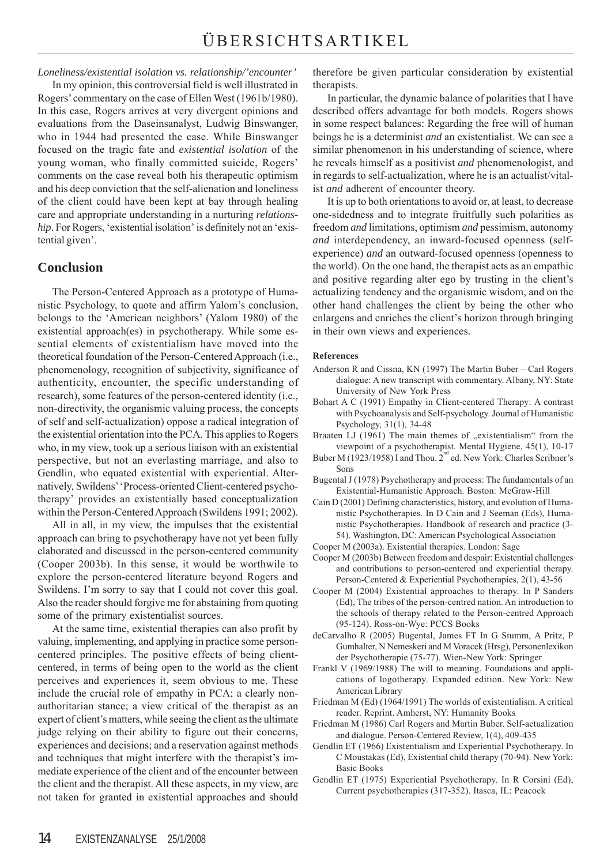*Loneliness/existential isolation vs. relationship/'encounter'*

In my opinion, this controversial field is well illustrated in Rogers' commentary on the case of Ellen West (1961b/1980). In this case, Rogers arrives at very divergent opinions and evaluations from the Daseinsanalyst, Ludwig Binswanger, who in 1944 had presented the case. While Binswanger focused on the tragic fate and *existential isolation* of the young woman, who finally committed suicide, Rogers' comments on the case reveal both his therapeutic optimism and his deep conviction that the self-alienation and loneliness of the client could have been kept at bay through healing care and appropriate understanding in a nurturing *relationship*. For Rogers, 'existential isolation' is definitely not an 'existential given'.

# **Conclusion**

The Person-Centered Approach as a prototype of Humanistic Psychology, to quote and affirm Yalom's conclusion, belongs to the 'American neighbors' (Yalom 1980) of the existential approach(es) in psychotherapy. While some essential elements of existentialism have moved into the theoretical foundation of the Person-Centered Approach (i.e., phenomenology, recognition of subjectivity, significance of authenticity, encounter, the specific understanding of research), some features of the person-centered identity (i.e., non-directivity, the organismic valuing process, the concepts of self and self-actualization) oppose a radical integration of the existential orientation into the PCA. This applies to Rogers who, in my view, took up a serious liaison with an existential perspective, but not an everlasting marriage, and also to Gendlin, who equated existential with experiential. Alternatively, Swildens' 'Process-oriented Client-centered psychotherapy' provides an existentially based conceptualization within the Person-Centered Approach (Swildens 1991; 2002).

All in all, in my view, the impulses that the existential approach can bring to psychotherapy have not yet been fully elaborated and discussed in the person-centered community (Cooper 2003b). In this sense, it would be worthwile to explore the person-centered literature beyond Rogers and Swildens. I'm sorry to say that I could not cover this goal. Also the reader should forgive me for abstaining from quoting some of the primary existentialist sources.

At the same time, existential therapies can also profit by valuing, implementing, and applying in practice some personcentered principles. The positive effects of being clientcentered, in terms of being open to the world as the client perceives and experiences it, seem obvious to me. These include the crucial role of empathy in PCA; a clearly nonauthoritarian stance; a view critical of the therapist as an expert of client's matters, while seeing the client as the ultimate judge relying on their ability to figure out their concerns, experiences and decisions; and a reservation against methods and techniques that might interfere with the therapist's immediate experience of the client and of the encounter between the client and the therapist. All these aspects, in my view, are not taken for granted in existential approaches and should

therefore be given particular consideration by existential therapists.

In particular, the dynamic balance of polarities that I have described offers advantage for both models. Rogers shows in some respect balances: Regarding the free will of human beings he is a determinist *and* an existentialist. We can see a similar phenomenon in his understanding of science, where he reveals himself as a positivist *and* phenomenologist, and in regards to self-actualization, where he is an actualist/vitalist *and* adherent of encounter theory.

It is up to both orientations to avoid or, at least, to decrease one-sidedness and to integrate fruitfully such polarities as freedom *and* limitations, optimism *and* pessimism, autonomy *and* interdependency, an inward-focused openness (selfexperience) *and* an outward-focused openness (openness to the world). On the one hand, the therapist acts as an empathic and positive regarding alter ego by trusting in the client's actualizing tendency and the organismic wisdom, and on the other hand challenges the client by being the other who enlargens and enriches the client's horizon through bringing in their own views and experiences.

#### **References**

- Anderson R and Cissna, KN (1997) The Martin Buber Carl Rogers dialogue: A new transcript with commentary. Albany, NY: State University of New York Press
- Bohart A C (1991) Empathy in Client-centered Therapy: A contrast with Psychoanalysis and Self-psychology. Journal of Humanistic Psychology, 31(1), 34-48
- Braaten LJ (1961) The main themes of "existentialism" from the viewpoint of a psychotherapist. Mental Hygiene, 45(1), 10-17
- Buber M (1923/1958) I and Thou.  $2^{na}$  ed. New York: Charles Scribner's Sons
- Bugental J (1978) Psychotherapy and process: The fundamentals of an Existential-Humanistic Approach. Boston: McGraw-Hill
- Cain D (2001) Defining characteristics, history, and evolution of Humanistic Psychotherapies. In D Cain and J Seeman (Eds), Humanistic Psychotherapies. Handbook of research and practice (3- 54). Washington, DC: American Psychological Association
- Cooper M (2003a). Existential therapies. London: Sage
- Cooper M (2003b) Between freedom and despair: Existential challenges and contributions to person-centered and experiential therapy. Person-Centered & Experiential Psychotherapies, 2(1), 43-56
- Cooper M (2004) Existential approaches to therapy. In P Sanders (Ed), The tribes of the person-centred nation. An introduction to the schools of therapy related to the Person-centred Approach (95-124). Ross-on-Wye: PCCS Books
- deCarvalho R (2005) Bugental, James FT In G Stumm, A Pritz, P Gumhalter, N Nemeskeri and M Voracek (Hrsg), Personenlexikon der Psychotherapie (75-77). Wien-New York: Springer
- Frankl V (1969/1988) The will to meaning. Foundations and applications of logotherapy. Expanded edition. New York: New American Library
- Friedman M (Ed) (1964/1991) The worlds of existentialism. A critical reader. Reprint. Amherst, NY: Humanity Books
- Friedman M (1986) Carl Rogers and Martin Buber. Self-actualization and dialogue. Person-Centered Review, 1(4), 409-435
- Gendlin ET (1966) Existentialism and Experiential Psychotherapy. In C Moustakas (Ed), Existential child therapy (70-94). New York: Basic Books
- Gendlin ET (1975) Experiential Psychotherapy. In R Corsini (Ed), Current psychotherapies (317-352). Itasca, IL: Peacock